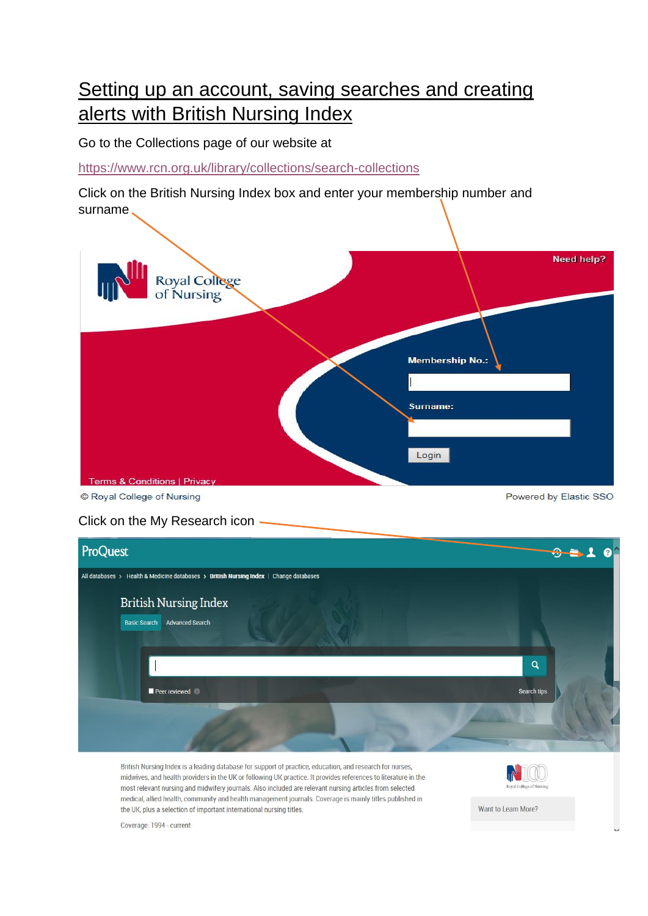## Setting up an account, saving searches and creating alerts with British Nursing Index

Go to the Collections page of our website at

<https://www.rcn.org.uk/library/collections/search-collections>

Click on the British Nursing Index box and enter your membership number and surname



C Royal College of Nursing

Click on the My Research icon



British Nursing Index is a leading database for support of practice, education, and research for nurses, midwives, and health providers in the UK or following UK practice. It provides references to literature in the most relevant nursing and midwifery journals. Also included are relevant nursing articles from selected medical, allied health, community and health management journals. Coverage is mainly titles published in the UK, plus a selection of important international nursing titles.



Powered by Elastic SSO

Want to Learn More?

Coverage: 1994 - current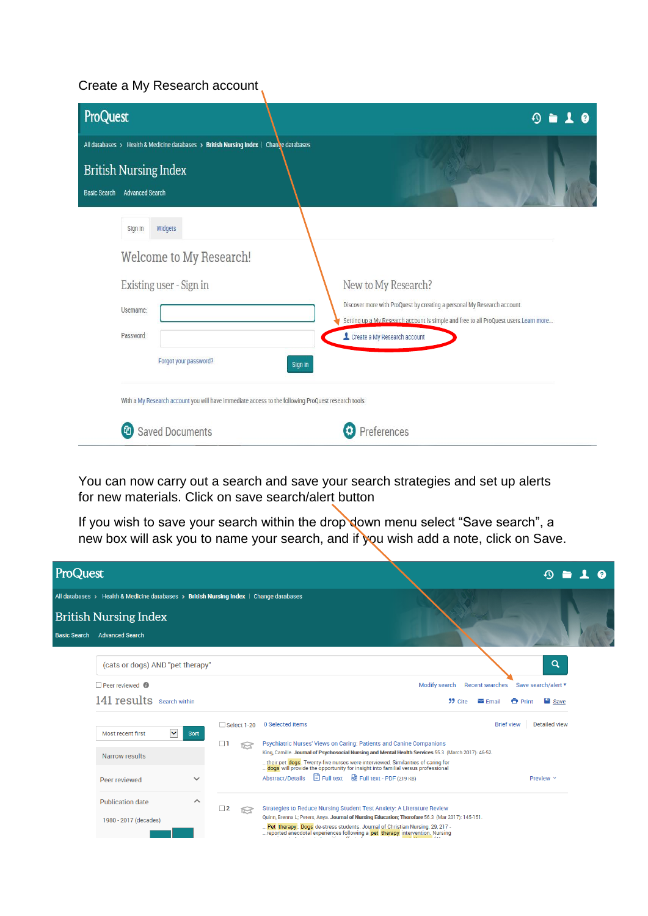## Create a My Research account,

| ProQuest                                                                                                                    |         | ல                                                                                                                                                                                                                       |
|-----------------------------------------------------------------------------------------------------------------------------|---------|-------------------------------------------------------------------------------------------------------------------------------------------------------------------------------------------------------------------------|
| All databases > Health & Medicine databases > British Nursing Index   Chanve databases                                      |         |                                                                                                                                                                                                                         |
| <b>British Nursing Index</b>                                                                                                |         |                                                                                                                                                                                                                         |
| <b>Advanced Search</b><br><b>Basic Search</b>                                                                               |         |                                                                                                                                                                                                                         |
| Widgets<br>Sign in<br>Welcome to My Research!<br>Existing user - Sign in<br>Username:<br>Password:<br>Forgot your password? | Sign in | New to My Research?<br>Discover more with ProQuest by creating a personal My Research account.<br>Setting up a My Research account is simple and free to all ProQuest users. Learn more<br>Create a My Research account |
| With a My Research account you will have immediate access to the following ProQuest research tools:                         |         |                                                                                                                                                                                                                         |
| <b>Saved Documents</b><br>(ආ                                                                                                |         | Preferences                                                                                                                                                                                                             |

You can now carry out a search and save your search strategies and set up alerts for new materials. Click on save search/alert button

If you wish to save your search within the drop down menu select "Save search", a new box will ask you to name your search, and if you wish add a note, click on Save.

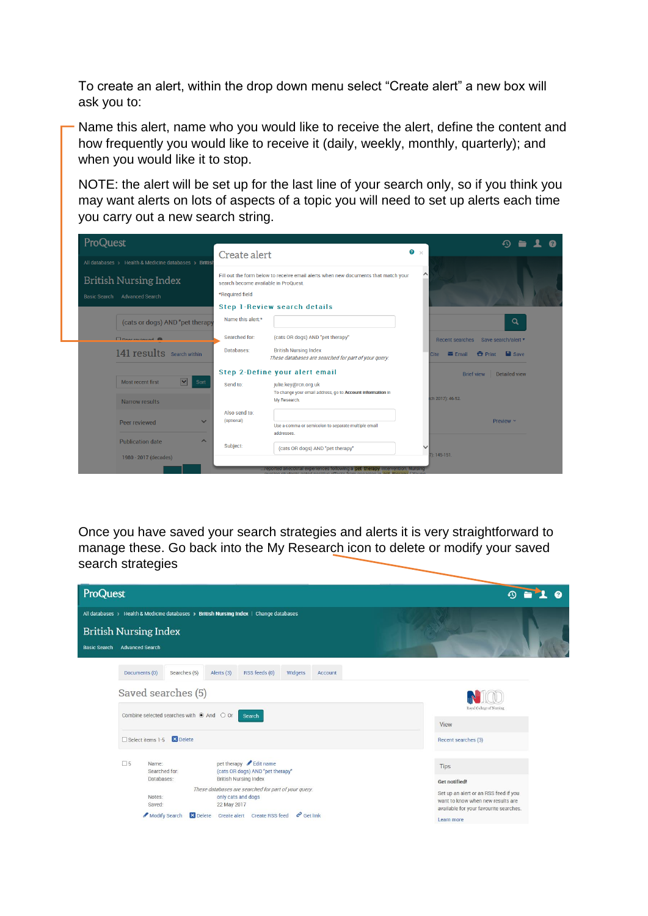To create an alert, within the drop down menu select "Create alert" a new box will ask you to:

Name this alert, name who you would like to receive the alert, define the content and how frequently you would like to receive it (daily, weekly, monthly, quarterly); and when you would like it to stop.

NOTE: the alert will be set up for the last line of your search only, so if you think you may want alerts on lots of aspects of a topic you will need to set up alerts each time you carry out a new search string.



Once you have saved your search strategies and alerts it is very straightforward to manage these. Go back into the My Research icon to delete or modify your saved search strategies